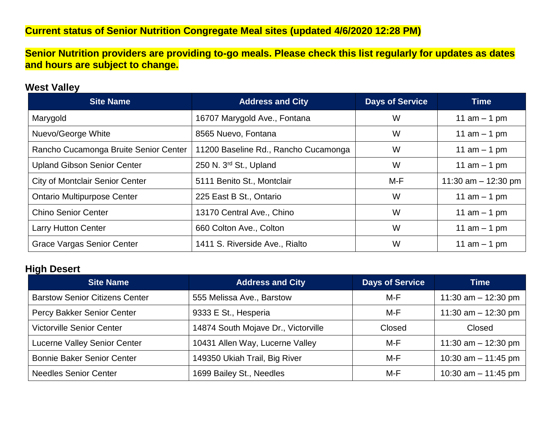## **Current status of Senior Nutrition Congregate Meal sites (updated 4/6/2020 12:28 PM)**

**Senior Nutrition providers are providing to-go meals. Please check this list regularly for updates as dates and hours are subject to change.**

#### **West Valley**

| <b>Site Name</b>                       | <b>Address and City</b>              | <b>Days of Service</b> | <b>Time</b>           |
|----------------------------------------|--------------------------------------|------------------------|-----------------------|
| Marygold                               | 16707 Marygold Ave., Fontana         | W                      | 11 $am - 1 pm$        |
| Nuevo/George White                     | 8565 Nuevo, Fontana                  | W                      | 11 $am - 1 pm$        |
| Rancho Cucamonga Bruite Senior Center  | 11200 Baseline Rd., Rancho Cucamonga | W                      | 11 $am - 1 pm$        |
| <b>Upland Gibson Senior Center</b>     | 250 N. 3rd St., Upland               | W                      | 11 $am - 1 pm$        |
| <b>City of Montclair Senior Center</b> | 5111 Benito St., Montclair           | M-F                    | 11:30 am $-$ 12:30 pm |
| <b>Ontario Multipurpose Center</b>     | 225 East B St., Ontario              | W                      | 11 $am - 1 pm$        |
| <b>Chino Senior Center</b>             | 13170 Central Ave., Chino            | W                      | 11 $am - 1 pm$        |
| <b>Larry Hutton Center</b>             | 660 Colton Ave., Colton              | W                      | 11 $am - 1 pm$        |
| <b>Grace Vargas Senior Center</b>      | 1411 S. Riverside Ave., Rialto       | W                      | 11 $am - 1 pm$        |

#### **High Desert**

| <b>Site Name</b>                      | <b>Address and City</b>             | <b>Days of Service</b> | Time                  |
|---------------------------------------|-------------------------------------|------------------------|-----------------------|
| <b>Barstow Senior Citizens Center</b> | 555 Melissa Ave., Barstow           | M-F                    | 11:30 am $-$ 12:30 pm |
| Percy Bakker Senior Center            | 9333 E St., Hesperia                | M-F                    | 11:30 am $-$ 12:30 pm |
| <b>Victorville Senior Center</b>      | 14874 South Mojave Dr., Victorville | Closed                 | Closed                |
| <b>Lucerne Valley Senior Center</b>   | 10431 Allen Way, Lucerne Valley     | M-F                    | 11:30 am $-$ 12:30 pm |
| <b>Bonnie Baker Senior Center</b>     | 149350 Ukiah Trail, Big River       | M-F                    | 10:30 am $-$ 11:45 pm |
| <b>Needles Senior Center</b>          | 1699 Bailey St., Needles            | M-F                    | 10:30 am $-$ 11:45 pm |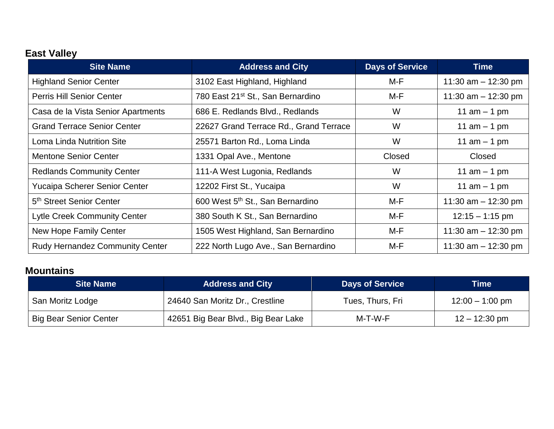# **East Valley**

| <b>Site Name</b>                       | <b>Address and City</b>                       | <b>Days of Service</b> | <b>Time</b>           |
|----------------------------------------|-----------------------------------------------|------------------------|-----------------------|
| <b>Highland Senior Center</b>          | 3102 East Highland, Highland                  | M-F                    | 11:30 am $-$ 12:30 pm |
| Perris Hill Senior Center              | 780 East 21 <sup>st</sup> St., San Bernardino | M-F                    | 11:30 am $-$ 12:30 pm |
| Casa de la Vista Senior Apartments     | 686 E. Redlands Blvd., Redlands               | W                      | 11 $am - 1 pm$        |
| <b>Grand Terrace Senior Center</b>     | 22627 Grand Terrace Rd., Grand Terrace        | W                      | 11 $am - 1 pm$        |
| Loma Linda Nutrition Site              | 25571 Barton Rd., Loma Linda                  | W                      | 11 $am - 1 pm$        |
| <b>Mentone Senior Center</b>           | 1331 Opal Ave., Mentone                       | Closed                 | Closed                |
| <b>Redlands Community Center</b>       | 111-A West Lugonia, Redlands                  | W                      | 11 $am - 1 pm$        |
| Yucaipa Scherer Senior Center          | 12202 First St., Yucaipa                      | W                      | 11 $am - 1 pm$        |
| 5 <sup>th</sup> Street Senior Center   | 600 West 5 <sup>th</sup> St., San Bernardino  | M-F                    | 11:30 am $-$ 12:30 pm |
| <b>Lytle Creek Community Center</b>    | 380 South K St., San Bernardino               | M-F                    | $12:15 - 1:15$ pm     |
| <b>New Hope Family Center</b>          | 1505 West Highland, San Bernardino            | M-F                    | 11:30 am $-$ 12:30 pm |
| <b>Rudy Hernandez Community Center</b> | 222 North Lugo Ave., San Bernardino           | M-F                    | 11:30 am $-$ 12:30 pm |

## **Mountains**

| <b>Site Name</b>              | <b>Address and City</b>             | <b>Days of Service</b> | Time'                   |
|-------------------------------|-------------------------------------|------------------------|-------------------------|
| San Moritz Lodge              | 24640 San Moritz Dr., Crestline     | Tues, Thurs, Fri       | $12:00 - 1:00$ pm       |
| <b>Big Bear Senior Center</b> | 42651 Big Bear Blvd., Big Bear Lake | M-T-W-F                | $12 - 12:30 \text{ pm}$ |